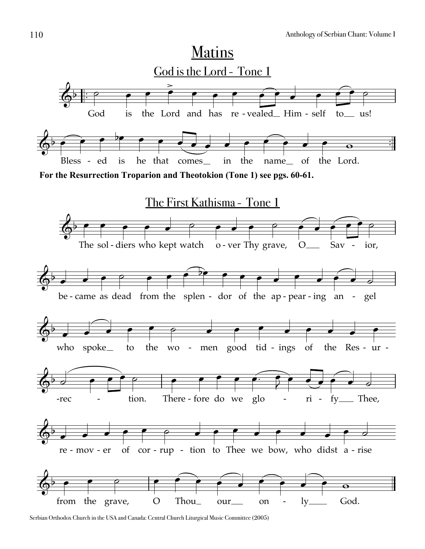

Serbian Orthodox Church in the USA and Canada: Central Church Liturgical Music Committee (2005)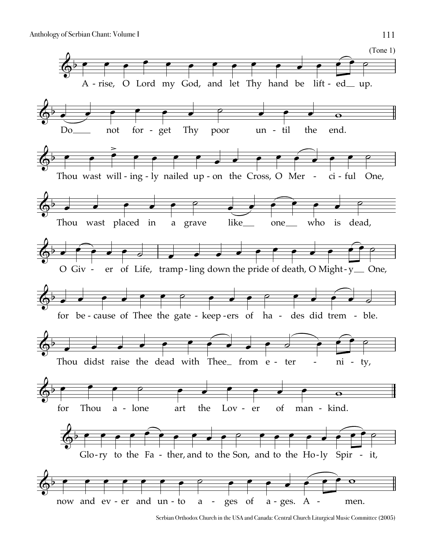

Serbian Orthodox Church in the USA and Canada: Central Church Liturgical Music Committee (2005)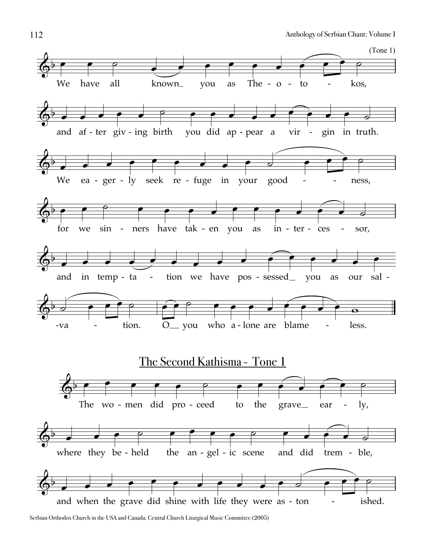

Serbian Orthodox Church in the USA and Canada: Central Church Liturgical Music Committee (2005)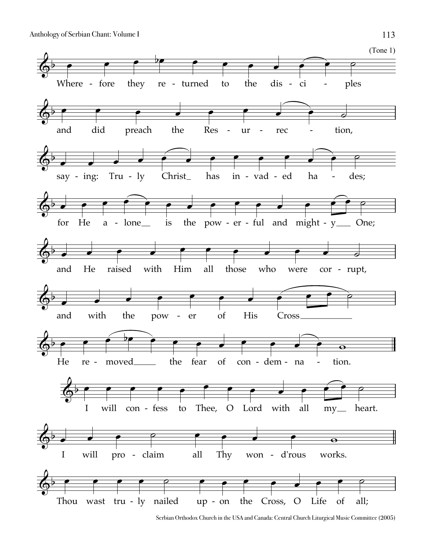

Serbian Orthodox Church in the USA and Canada: Central Church Liturgical Music Committee (2005)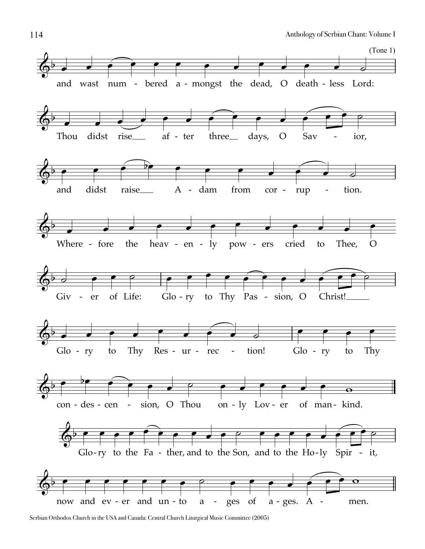

Serbian Orthodox Church in the USA and Canada: Central Church Liturgical Music Committee (2005)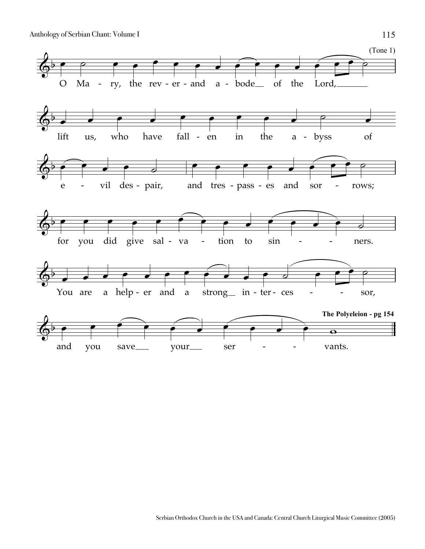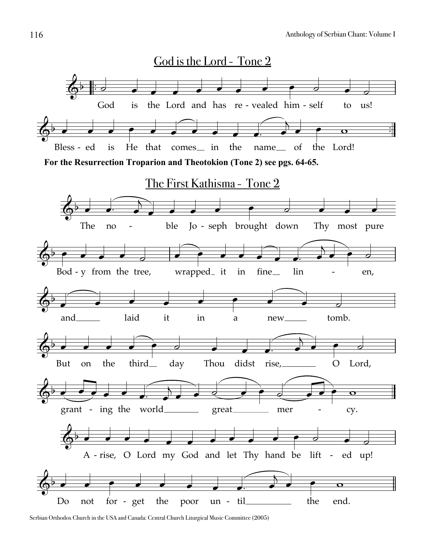

Serbian Orthodox Church in the USA and Canada: Central Church Liturgical Music Committee (2005)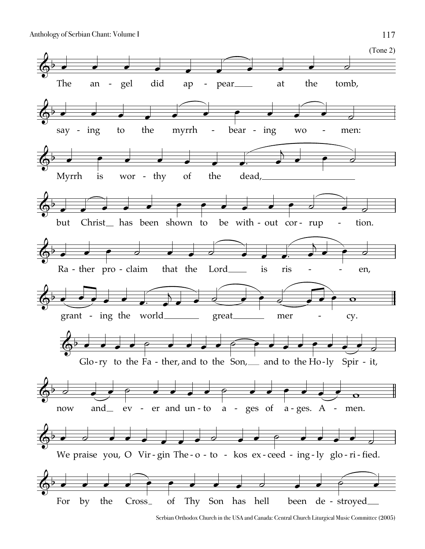

Serbian Orthodox Church in the USA and Canada: Central Church Liturgical Music Committee (2005)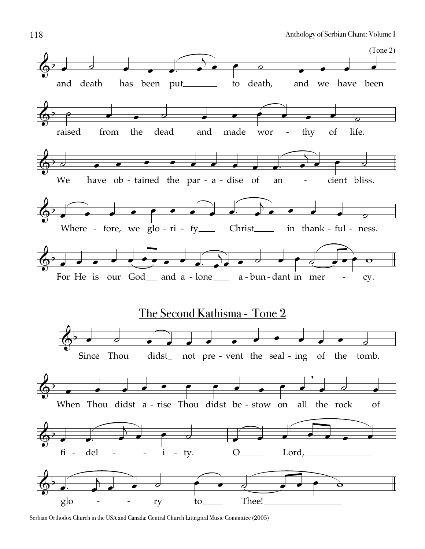

Serbian Orthodox Church in the USA and Canada: Central Church Liturgical Music Committee (2005)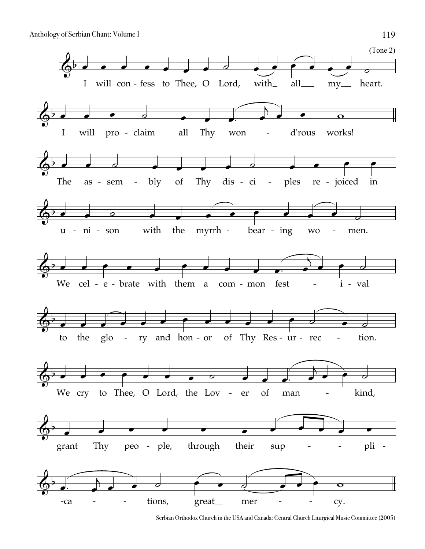

Serbian Orthodox Church in the USA and Canada: Central Church Liturgical Music Committee (2005)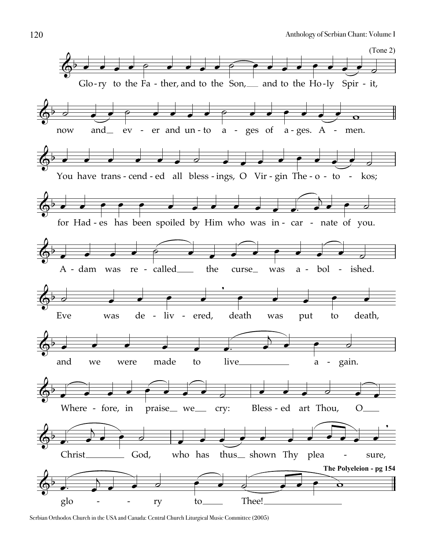

Serbian Orthodox Church in the USA and Canada: Central Church Liturgical Music Committee (2005)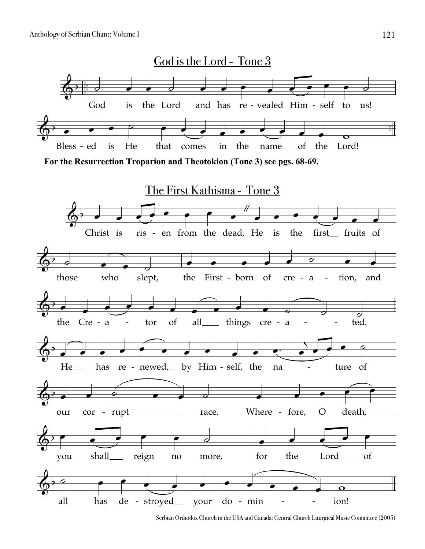

Serbian Orthodox Church in the USA and Canada: Central Church Liturgical Music Committee (2005)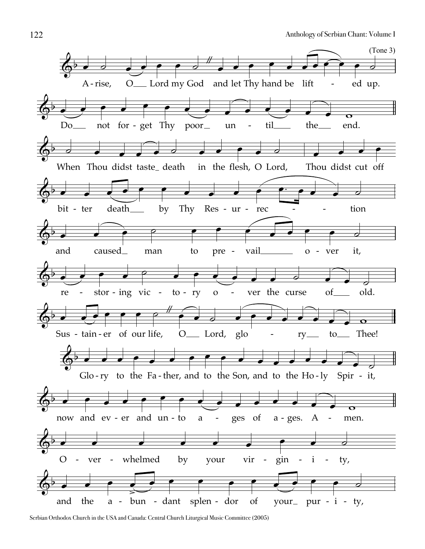

Serbian Orthodox Church in the USA and Canada: Central Church Liturgical Music Committee (2005)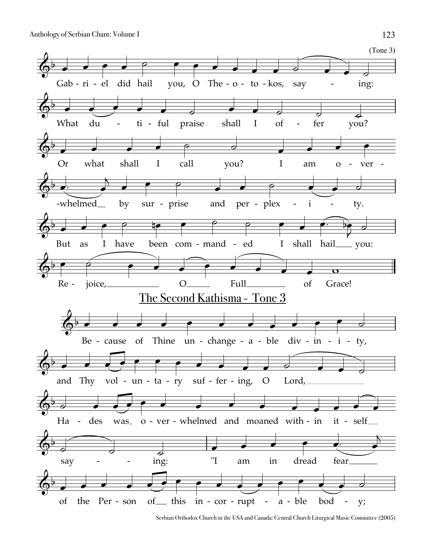

Serbian Orthodox Church in the USA and Canada: Central Church Liturgical Music Committee (2005)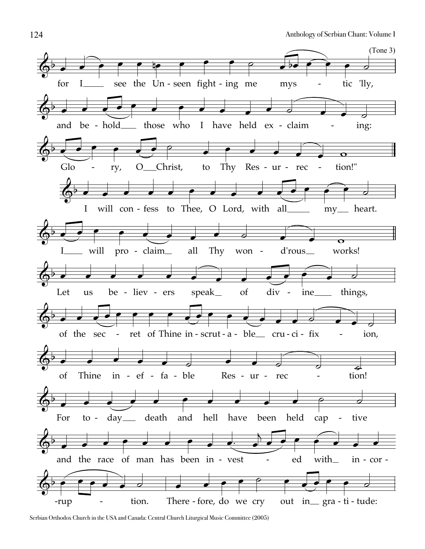

Serbian Orthodox Church in the USA and Canada: Central Church Liturgical Music Committee (2005)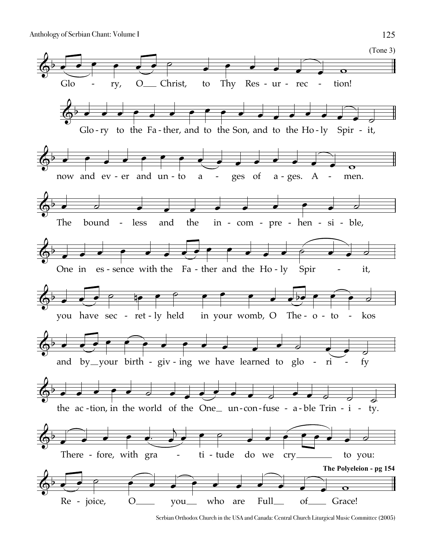

Serbian Orthodox Church in the USA and Canada: Central Church Liturgical Music Committee (2005)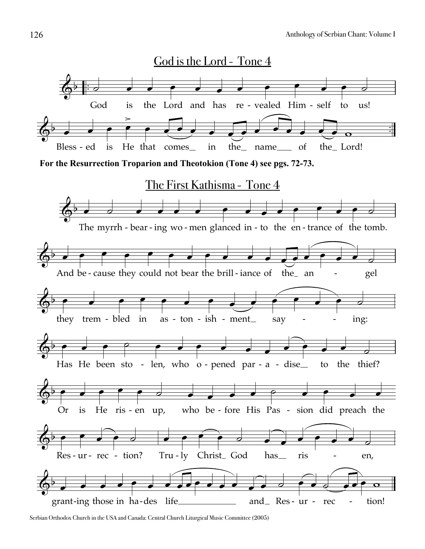

Serbian Orthodox Church in the USA and Canada: Central Church Liturgical Music Committee (2005)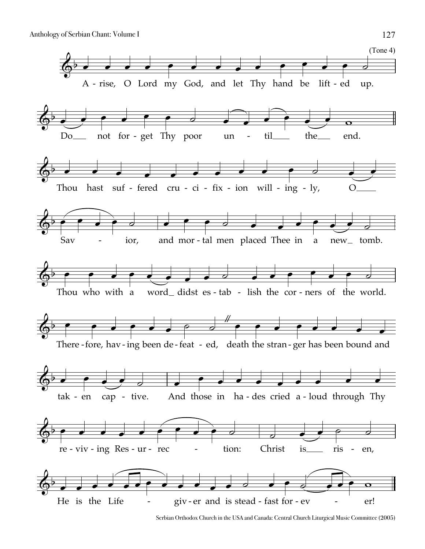

Serbian Orthodox Church in the USA and Canada: Central Church Liturgical Music Committee (2005)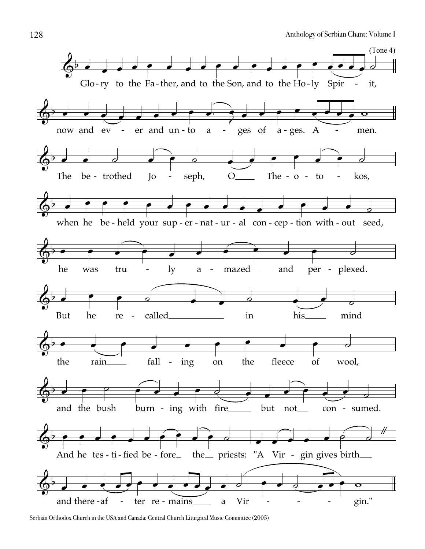

Serbian Orthodox Church in the USA and Canada: Central Church Liturgical Music Committee (2005)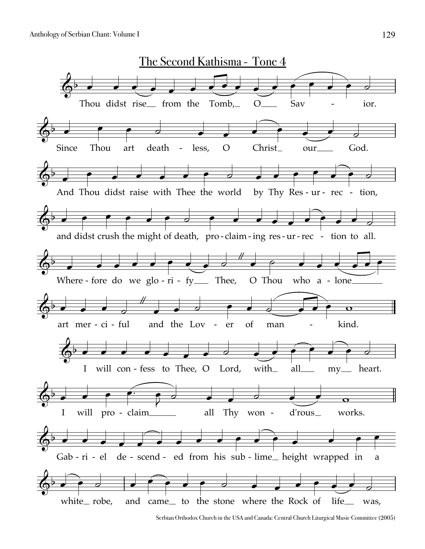

Serbian Orthodox Church in the USA and Canada: Central Church Liturgical Music Committee (2005)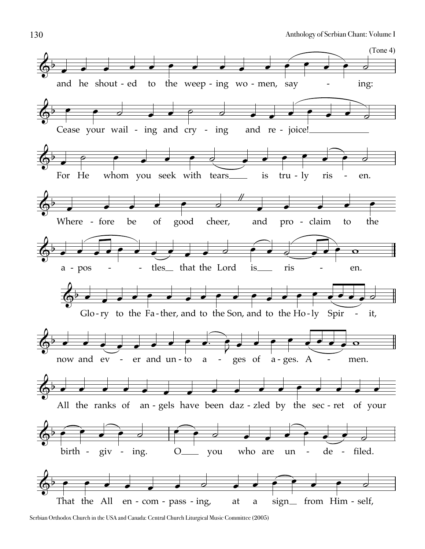

Serbian Orthodox Church in the USA and Canada: Central Church Liturgical Music Committee (2005)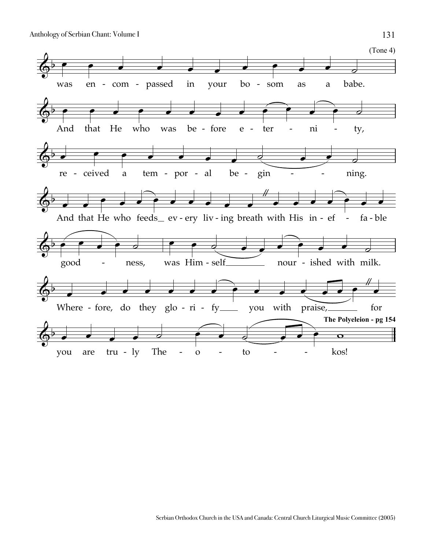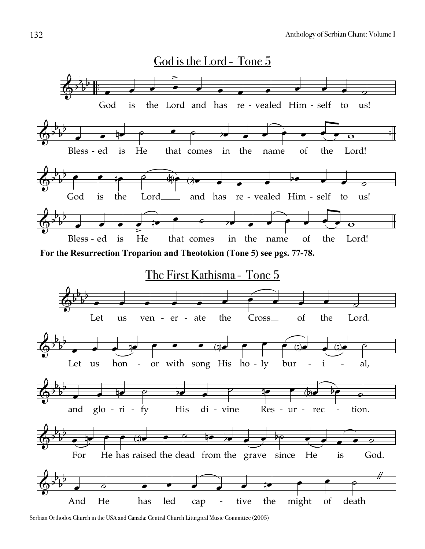



Serbian Orthodox Church in the USA and Canada: Central Church Liturgical Music Committee (2005)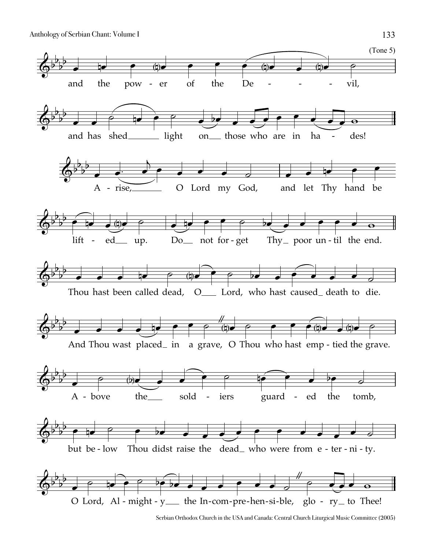

Serbian Orthodox Church in the USA and Canada: Central Church Liturgical Music Committee (2005)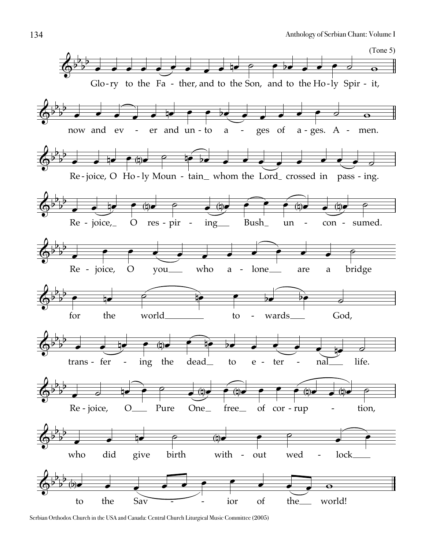

Serbian Orthodox Church in the USA and Canada: Central Church Liturgical Music Committee (2005)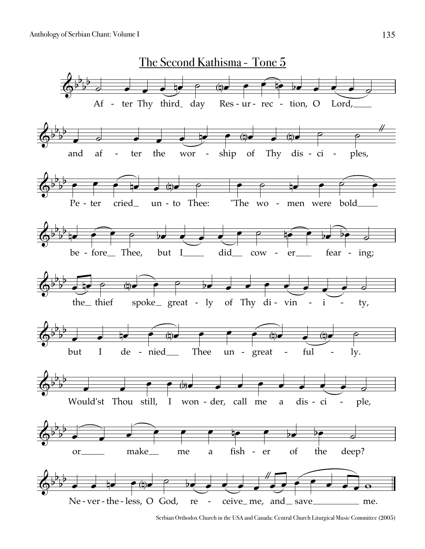

Serbian Orthodox Church in the USA and Canada: Central Church Liturgical Music Committee (2005)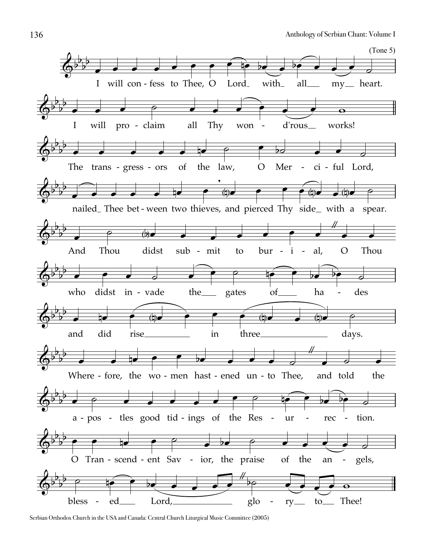

Serbian Orthodox Church in the USA and Canada: Central Church Liturgical Music Committee (2005)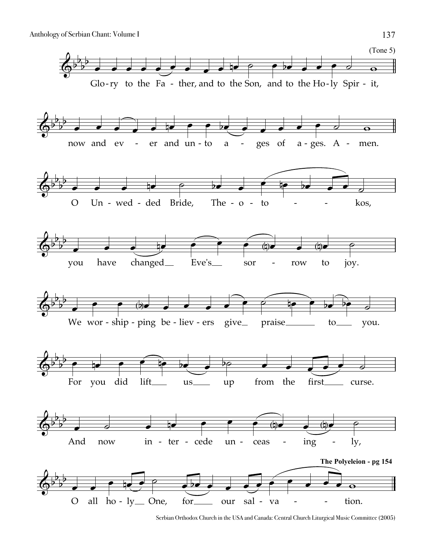

Serbian Orthodox Church in the USA and Canada: Central Church Liturgical Music Committee (2005)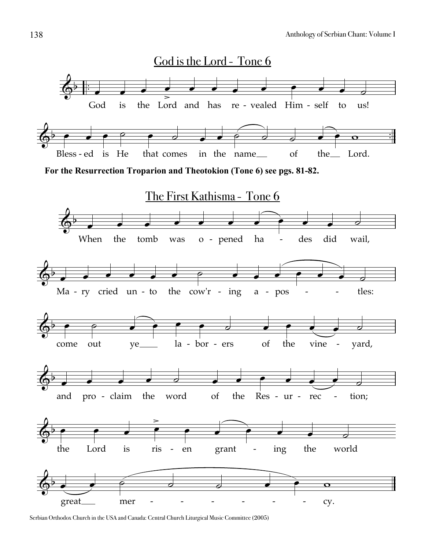

Serbian Orthodox Church in the USA and Canada: Central Church Liturgical Music Committee (2005)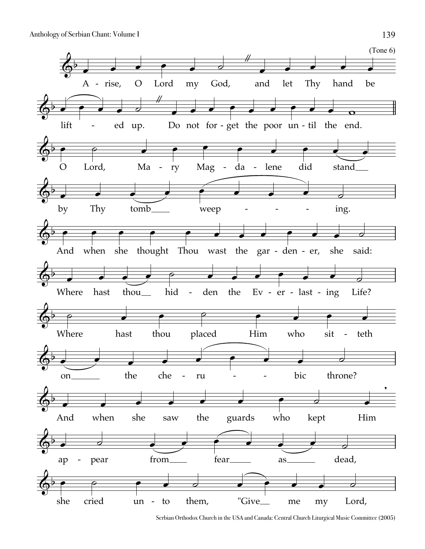

Serbian Orthodox Church in the USA and Canada: Central Church Liturgical Music Committee (2005)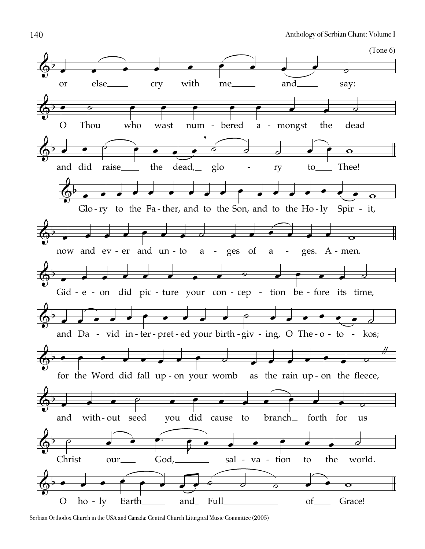

Serbian Orthodox Church in the USA and Canada: Central Church Liturgical Music Committee (2005)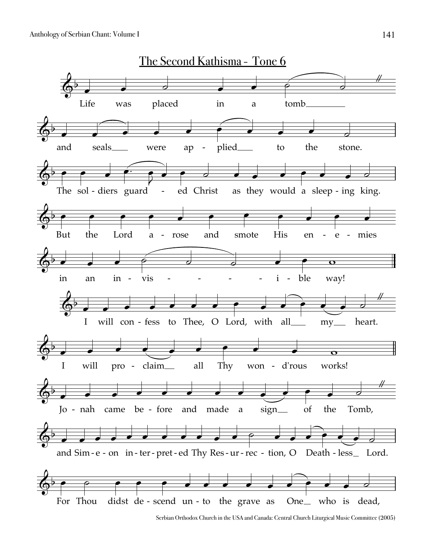

Serbian Orthodox Church in the USA and Canada: Central Church Liturgical Music Committee (2005)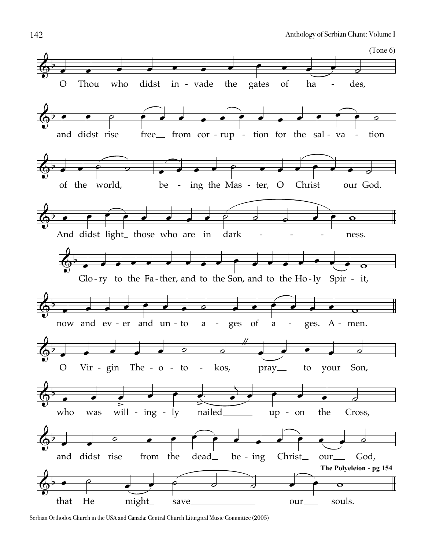

Serbian Orthodox Church in the USA and Canada: Central Church Liturgical Music Committee (2005)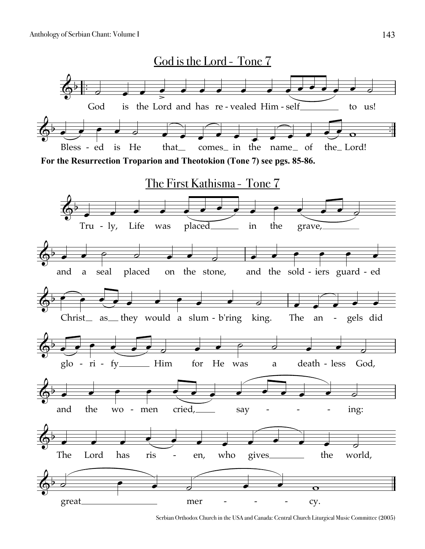

Serbian Orthodox Church in the USA and Canada: Central Church Liturgical Music Committee (2005)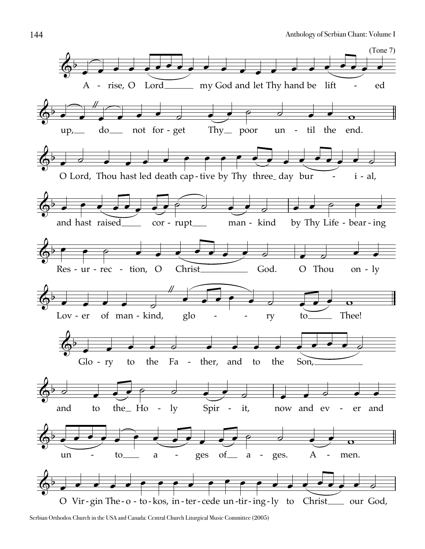

Serbian Orthodox Church in the USA and Canada: Central Church Liturgical Music Committee (2005)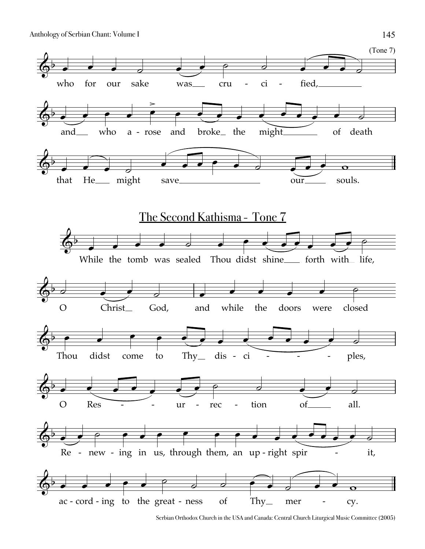

Serbian Orthodox Church in the USA and Canada: Central Church Liturgical Music Committee (2005)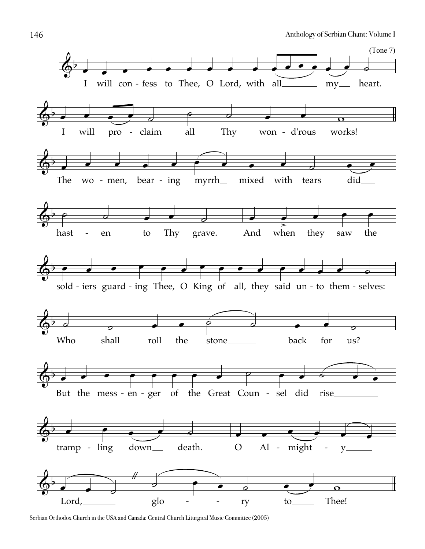

Serbian Orthodox Church in the USA and Canada: Central Church Liturgical Music Committee (2005)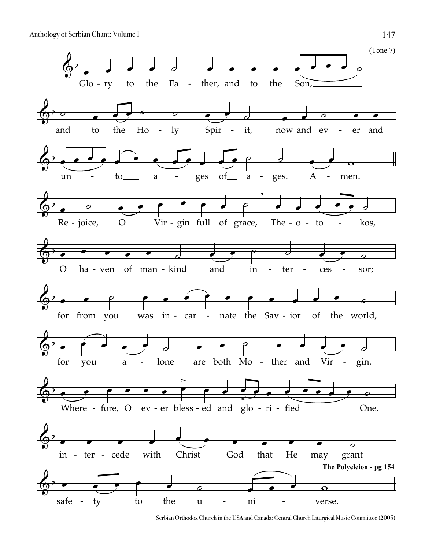

Serbian Orthodox Church in the USA and Canada: Central Church Liturgical Music Committee (2005)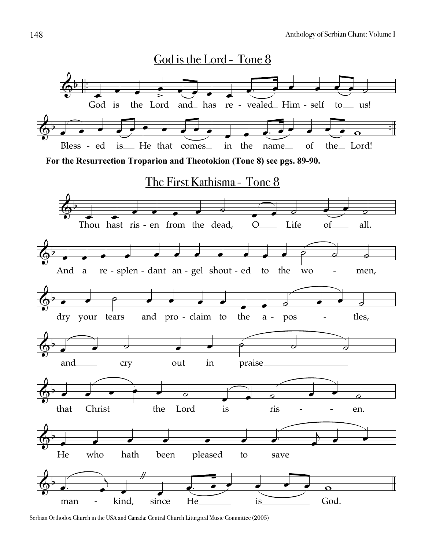

Serbian Orthodox Church in the USA and Canada: Central Church Liturgical Music Committee (2005)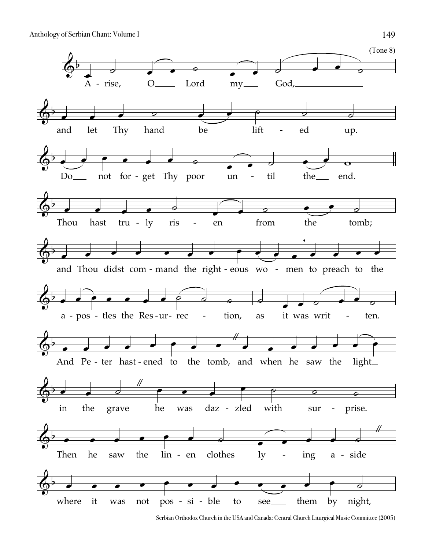

Serbian Orthodox Church in the USA and Canada: Central Church Liturgical Music Committee (2005)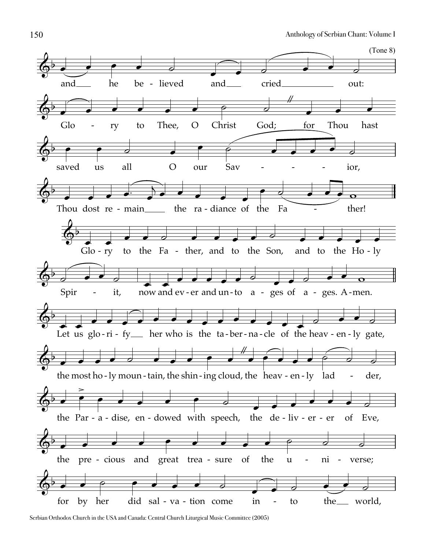

Serbian Orthodox Church in the USA and Canada: Central Church Liturgical Music Committee (2005)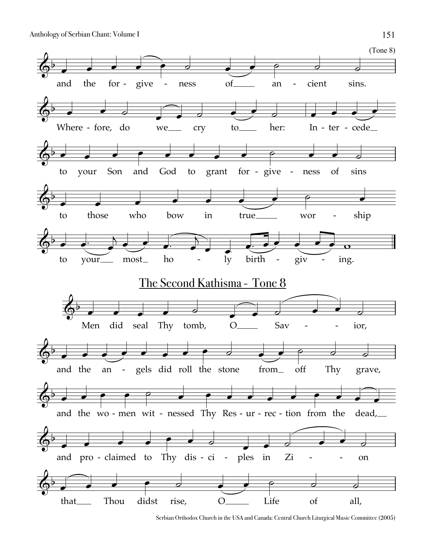

Serbian Orthodox Church in the USA and Canada: Central Church Liturgical Music Committee (2005)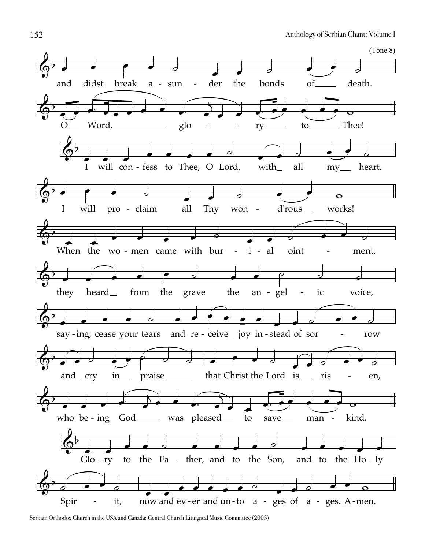

Serbian Orthodox Church in the USA and Canada: Central Church Liturgical Music Committee (2005)